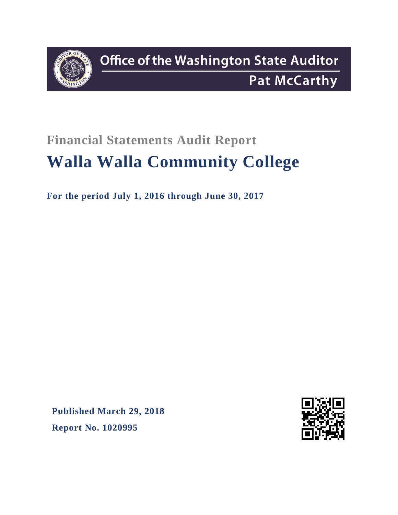

# **Financial Statements Audit Report Walla Walla Community College**

**For the period July 1, 2016 through June 30, 2017**

**Published March 29, 2018 Report No. 1020995**

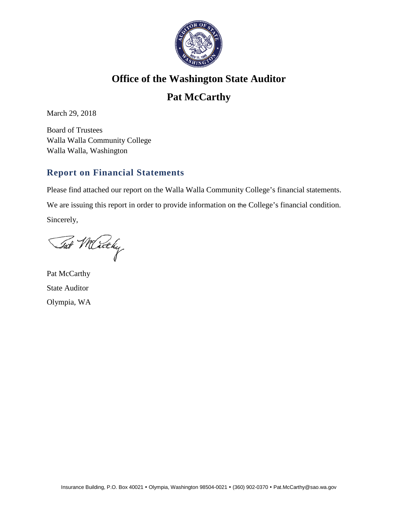

### **Office of the Washington State Auditor**

## **Pat McCarthy**

March 29, 2018

Board of Trustees Walla Walla Community College Walla Walla, Washington

#### **Report on Financial Statements**

Please find attached our report on the Walla Walla Community College's financial statements.

We are issuing this report in order to provide information on the College's financial condition.

Sincerely,

Tat Micky

Pat McCarthy State Auditor Olympia, WA